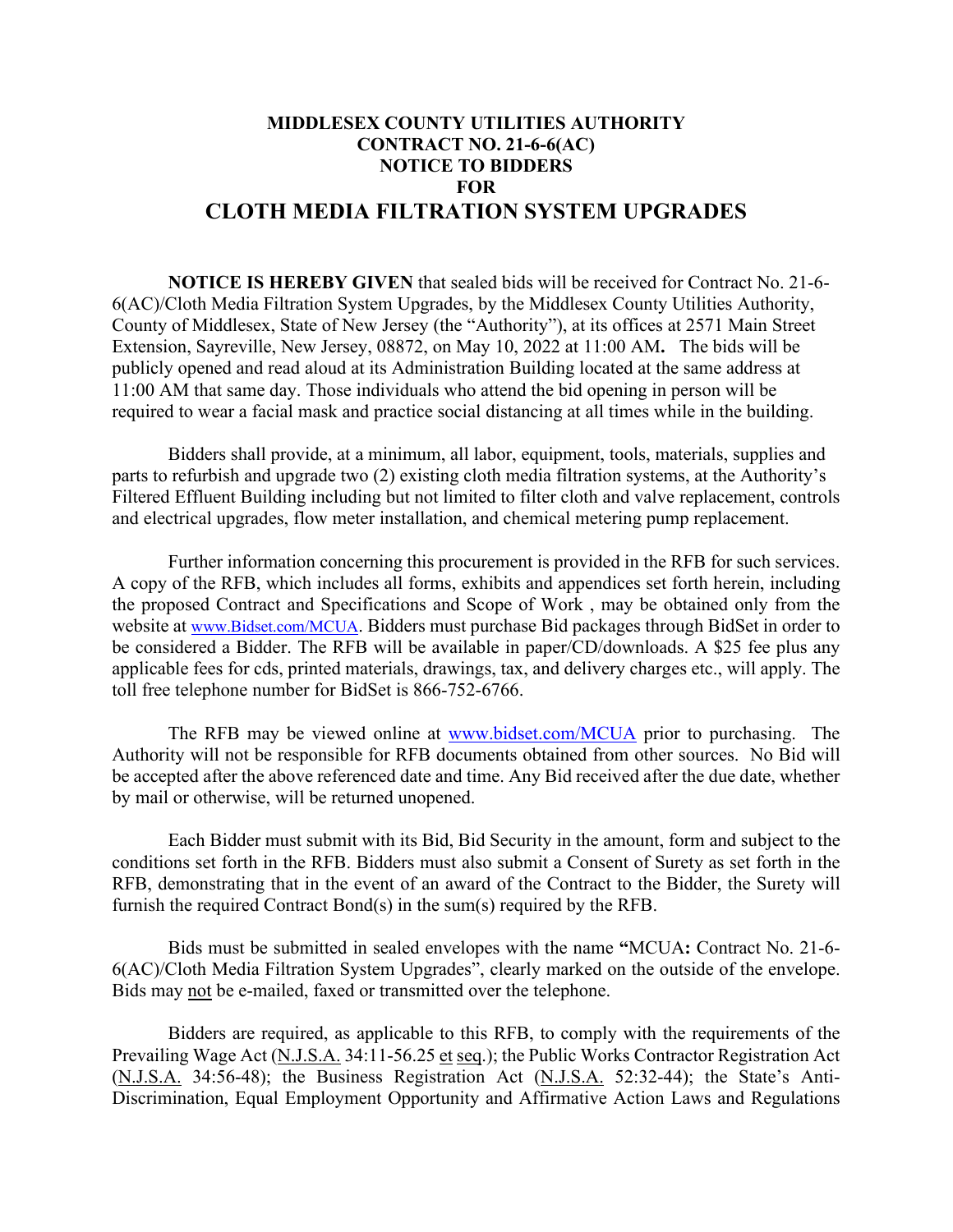## **MIDDLESEX COUNTY UTILITIES AUTHORITY CONTRACT NO. 21-6-6(AC) NOTICE TO BIDDERS FOR CLOTH MEDIA FILTRATION SYSTEM UPGRADES**

**NOTICE IS HEREBY GIVEN** that sealed bids will be received for Contract No. 21-6- 6(AC)/Cloth Media Filtration System Upgrades, by the Middlesex County Utilities Authority, County of Middlesex, State of New Jersey (the "Authority"), at its offices at 2571 Main Street Extension, Sayreville, New Jersey, 08872, on May 10, 2022 at 11:00 AM**.** The bids will be publicly opened and read aloud at its Administration Building located at the same address at 11:00 AM that same day. Those individuals who attend the bid opening in person will be required to wear a facial mask and practice social distancing at all times while in the building.

Bidders shall provide, at a minimum, all labor, equipment, tools, materials, supplies and parts to refurbish and upgrade two (2) existing cloth media filtration systems, at the Authority's Filtered Effluent Building including but not limited to filter cloth and valve replacement, controls and electrical upgrades, flow meter installation, and chemical metering pump replacement.

Further information concerning this procurement is provided in the RFB for such services. A copy of the RFB, which includes all forms, exhibits and appendices set forth herein, including the proposed Contract and Specifications and Scope of Work , may be obtained only from the website at [www.Bidset.com/MCUA.](http://www.bidset.com/MCUA) Bidders must purchase Bid packages through BidSet in order to be considered a Bidder. The RFB will be available in paper/CD/downloads. A \$25 fee plus any applicable fees for cds, printed materials, drawings, tax, and delivery charges etc., will apply. The toll free telephone number for BidSet is 866-752-6766.

The RFB may be viewed online at [www.bidset.com/MCUA](http://www.bidset.com/MCUA) prior to purchasing. The Authority will not be responsible for RFB documents obtained from other sources. No Bid will be accepted after the above referenced date and time. Any Bid received after the due date, whether by mail or otherwise, will be returned unopened.

Each Bidder must submit with its Bid, Bid Security in the amount, form and subject to the conditions set forth in the RFB. Bidders must also submit a Consent of Surety as set forth in the RFB, demonstrating that in the event of an award of the Contract to the Bidder, the Surety will furnish the required Contract Bond(s) in the sum(s) required by the RFB.

Bids must be submitted in sealed envelopes with the name **"**MCUA**:** Contract No. 21-6- 6(AC)/Cloth Media Filtration System Upgrades", clearly marked on the outside of the envelope. Bids may not be e-mailed, faxed or transmitted over the telephone.

Bidders are required, as applicable to this RFB, to comply with the requirements of the Prevailing Wage Act (N.J.S.A. 34:11-56.25 et seq.); the Public Works Contractor Registration Act (N.J.S.A. 34:56-48); the Business Registration Act (N.J.S.A. 52:32-44); the State's Anti-Discrimination, Equal Employment Opportunity and Affirmative Action Laws and Regulations